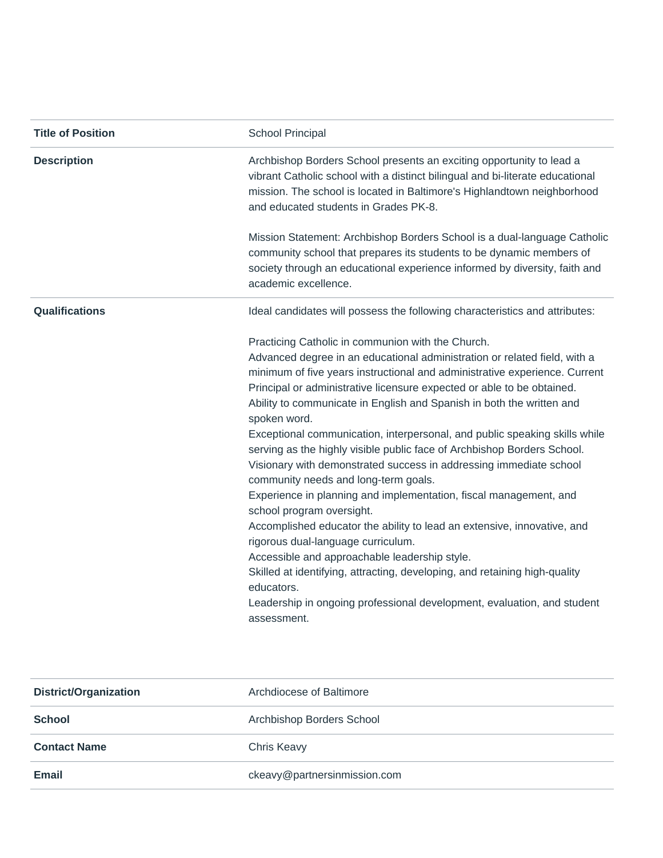| <b>Title of Position</b> | School Principal                                                                                                                                                                                                                                                                                                                                                                                                                                                                                                                                                                                                                                                                                                                                                                                                                    |
|--------------------------|-------------------------------------------------------------------------------------------------------------------------------------------------------------------------------------------------------------------------------------------------------------------------------------------------------------------------------------------------------------------------------------------------------------------------------------------------------------------------------------------------------------------------------------------------------------------------------------------------------------------------------------------------------------------------------------------------------------------------------------------------------------------------------------------------------------------------------------|
| <b>Description</b>       | Archbishop Borders School presents an exciting opportunity to lead a<br>vibrant Catholic school with a distinct bilingual and bi-literate educational<br>mission. The school is located in Baltimore's Highlandtown neighborhood<br>and educated students in Grades PK-8.                                                                                                                                                                                                                                                                                                                                                                                                                                                                                                                                                           |
|                          | Mission Statement: Archbishop Borders School is a dual-language Catholic<br>community school that prepares its students to be dynamic members of<br>society through an educational experience informed by diversity, faith and<br>academic excellence.                                                                                                                                                                                                                                                                                                                                                                                                                                                                                                                                                                              |
| <b>Qualifications</b>    | Ideal candidates will possess the following characteristics and attributes:                                                                                                                                                                                                                                                                                                                                                                                                                                                                                                                                                                                                                                                                                                                                                         |
|                          | Practicing Catholic in communion with the Church.<br>Advanced degree in an educational administration or related field, with a<br>minimum of five years instructional and administrative experience. Current<br>Principal or administrative licensure expected or able to be obtained.<br>Ability to communicate in English and Spanish in both the written and<br>spoken word.<br>Exceptional communication, interpersonal, and public speaking skills while<br>serving as the highly visible public face of Archbishop Borders School.<br>Visionary with demonstrated success in addressing immediate school<br>community needs and long-term goals.<br>Experience in planning and implementation, fiscal management, and<br>school program oversight.<br>Accomplished educator the ability to lead an extensive, innovative, and |
|                          | rigorous dual-language curriculum.<br>Accessible and approachable leadership style.<br>Skilled at identifying, attracting, developing, and retaining high-quality<br>educators.<br>Leadership in ongoing professional development, evaluation, and student<br>assessment.                                                                                                                                                                                                                                                                                                                                                                                                                                                                                                                                                           |

| <b>District/Organization</b> | Archdiocese of Baltimore     |
|------------------------------|------------------------------|
| <b>School</b>                | Archbishop Borders School    |
| <b>Contact Name</b>          | Chris Keavy                  |
| <b>Email</b>                 | ckeavy@partnersinmission.com |